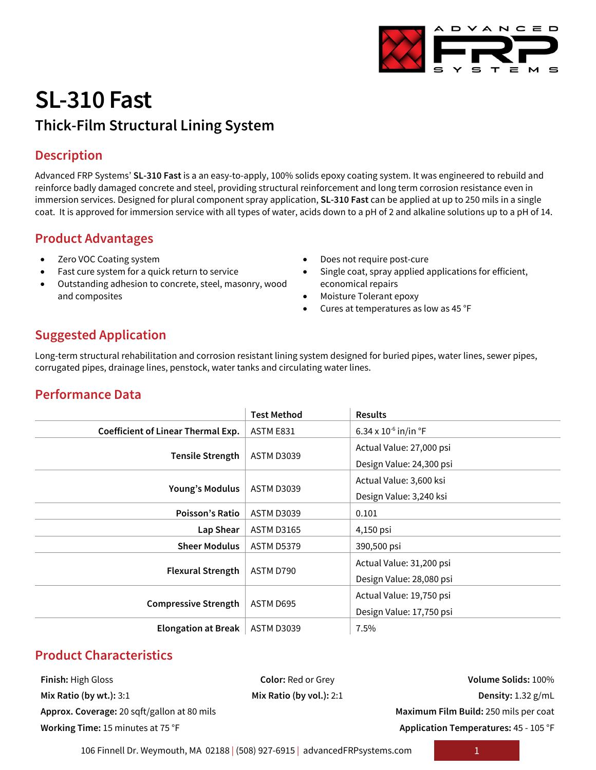

# **SL-310 Fast Thick-Film Structural Lining System**

# **Description**

Advanced FRP Systems' **SL-310 Fast** is a an easy-to-apply, 100% solids epoxy coating system. It was engineered to rebuild and reinforce badly damaged concrete and steel, providing structural reinforcement and long term corrosion resistance even in immersion services. Designed for plural component spray application, **SL-310 Fast** can be applied at up to 250 mils in a single coat. It is approved for immersion service with all types of water, acids down to a pH of 2 and alkaline solutions up to a pH of 14.

# **Product Advantages**

- Zero VOC Coating system
- Fast cure system for a quick return to service
- Outstanding adhesion to concrete, steel, masonry, wood and composites
- Does not require post-cure
- Single coat, spray applied applications for efficient, economical repairs
- Moisture Tolerant epoxy
- Cures at temperatures as low as 45 °F

# **Suggested Application**

Long-term structural rehabilitation and corrosion resistant lining system designed for buried pipes, water lines, sewer pipes, corrugated pipes, drainage lines, penstock, water tanks and circulating water lines.

# **Performance Data**

|                                    | <b>Test Method</b> | <b>Results</b>                     |  |
|------------------------------------|--------------------|------------------------------------|--|
| Coefficient of Linear Thermal Exp. | ASTM E831          | 6.34 x $10^{-6}$ in/in $\degree$ F |  |
| <b>Tensile Strength</b>            | <b>ASTM D3039</b>  | Actual Value: 27,000 psi           |  |
|                                    |                    | Design Value: 24,300 psi           |  |
| Young's Modulus                    | <b>ASTM D3039</b>  | Actual Value: 3,600 ksi            |  |
|                                    |                    | Design Value: 3,240 ksi            |  |
| <b>Poisson's Ratio</b>             | <b>ASTM D3039</b>  | 0.101                              |  |
| Lap Shear                          | <b>ASTM D3165</b>  | 4,150 psi                          |  |
| <b>Sheer Modulus</b>               | <b>ASTM D5379</b>  | 390,500 psi                        |  |
| <b>Flexural Strength</b>           | ASTM D790          | Actual Value: 31,200 psi           |  |
|                                    |                    | Design Value: 28,080 psi           |  |
| <b>Compressive Strength</b>        | ASTM D695          | Actual Value: 19,750 psi           |  |
|                                    |                    | Design Value: 17,750 psi           |  |
| <b>Elongation at Break</b>         | <b>ASTM D3039</b>  | 7.5%                               |  |

# **Product Characteristics**

**Finish:** High Gloss **Color:** Red or Grey **Volume Solids:** 100% **Approx. Coverage:** 20 sqft/gallon at 80 mils **Maximum Film Build:** 250 mils per coat **Working Time:** 15 minutes at 75 °F **Application Temperatures:** 45 - 105 °F

**Mix Ratio (by wt.):** 3:1 **Mix Ratio (by vol.):** 2:1 **Density:** 1.32 g/mL

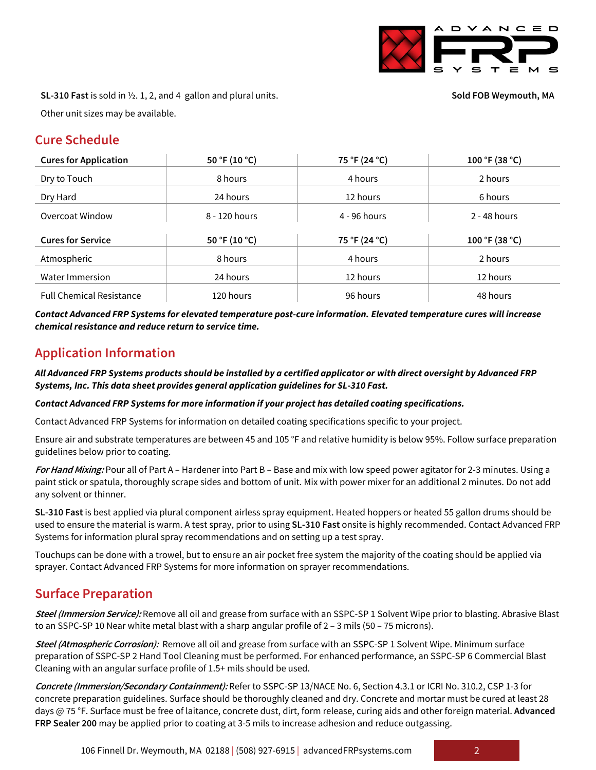

**SL-310 Fast** is sold in ½. 1, 2, and 4 gallon and plural units.

**Sold FOB Weymouth, MA**

Other unit sizes may be available.

#### **Cure Schedule**

| <b>Cures for Application</b>    | 50 °F (10 °C) | 75 °F (24 °C) | 100 °F (38 °C) |
|---------------------------------|---------------|---------------|----------------|
| Dry to Touch                    | 8 hours       | 4 hours       | 2 hours        |
| Dry Hard                        | 24 hours      | 12 hours      | 6 hours        |
| Overcoat Window                 | 8 - 120 hours | 4 - 96 hours  | $2 - 48$ hours |
| <b>Cures for Service</b>        | 50 °F (10 °C) | 75 °F (24 °C) | 100 °F (38 °C) |
| Atmospheric                     | 8 hours       | 4 hours       | 2 hours        |
| Water Immersion                 | 24 hours      | 12 hours      | 12 hours       |
| <b>Full Chemical Resistance</b> | 120 hours     | 96 hours      | 48 hours       |

*Contact Advanced FRP Systems for elevated temperature post-cure information. Elevated temperature cures will increase chemical resistance and reduce return to service time.*

# **Application Information**

*All Advanced FRP Systems products should be installed by a certified applicator or with direct oversight by Advanced FRP Systems, Inc. This data sheet provides general application guidelines for SL-310 Fast.*

#### *Contact Advanced FRP Systems for more information if your project has detailed coating specifications.*

Contact Advanced FRP Systems for information on detailed coating specifications specific to your project.

Ensure air and substrate temperatures are between 45 and 105 °F and relative humidity is below 95%. Follow surface preparation guidelines below prior to coating.

**For Hand Mixing:** Pour all of Part A – Hardener into Part B – Base and mix with low speed power agitator for 2-3 minutes. Using a paint stick or spatula, thoroughly scrape sides and bottom of unit. Mix with power mixer for an additional 2 minutes. Do not add any solvent or thinner.

**SL-310 Fast** is best applied via plural component airless spray equipment. Heated hoppers or heated 55 gallon drums should be used to ensure the material is warm. A test spray, prior to using **SL-310 Fast** onsite is highly recommended. Contact Advanced FRP Systems for information plural spray recommendations and on setting up a test spray.

Touchups can be done with a trowel, but to ensure an air pocket free system the majority of the coating should be applied via sprayer. Contact Advanced FRP Systems for more information on sprayer recommendations.

### **Surface Preparation**

**Steel (Immersion Service):** Remove all oil and grease from surface with an SSPC-SP 1 Solvent Wipe prior to blasting. Abrasive Blast to an SSPC-SP 10 Near white metal blast with a sharp angular profile of 2 - 3 mils (50 - 75 microns).

**Steel (Atmospheric Corrosion):** Remove all oil and grease from surface with an SSPC-SP 1 Solvent Wipe. Minimum surface preparation of SSPC-SP 2 Hand Tool Cleaning must be performed. For enhanced performance, an SSPC-SP 6 Commercial Blast Cleaning with an angular surface profile of 1.5+ mils should be used.

**Concrete (Immersion/Secondary Containment):** Refer to SSPC-SP 13/NACE No. 6, Section 4.3.1 or ICRI No. 310.2, CSP 1-3 for concrete preparation guidelines. Surface should be thoroughly cleaned and dry. Concrete and mortar must be cured at least 28 days @ 75 °F. Surface must be free of laitance, concrete dust, dirt, form release, curing aids and other foreign material. **Advanced FRP Sealer 200** may be applied prior to coating at 3-5 mils to increase adhesion and reduce outgassing.